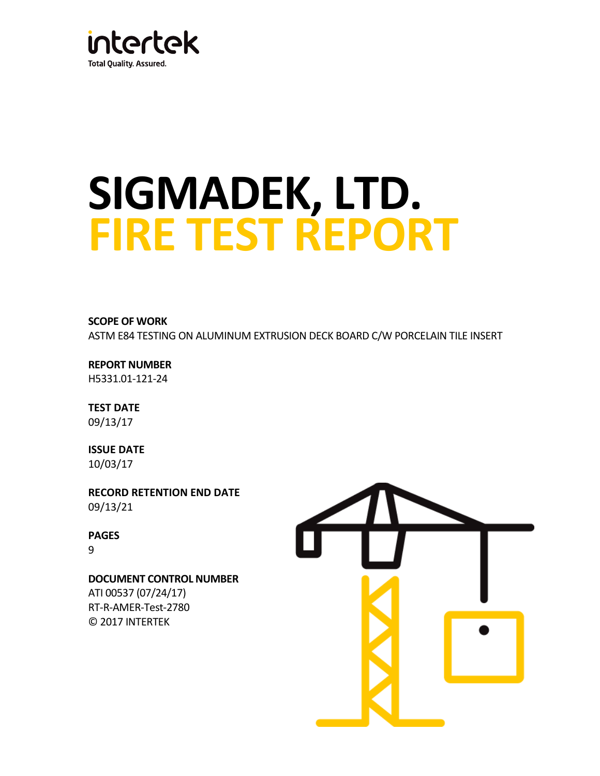

# **SIGMADEK, LTD. FIRE TEST REPORT**

**SCOPE OF WORK**  ASTM E84 TESTING ON ALUMINUM EXTRUSION DECK BOARD C/W PORCELAIN TILE INSERT

**REPORT NUMBER** H5331.01-121-24

**TEST DATE**  09/13/17

**ISSUE DATE**  10/03/17

**RECORD RETENTION END DATE**  09/13/21

**PAGES** 9

**DOCUMENT CONTROL NUMBER**  ATI 00537 (07/24/17) RT-R-AMER-Test-2780 © 2017 INTERTEK

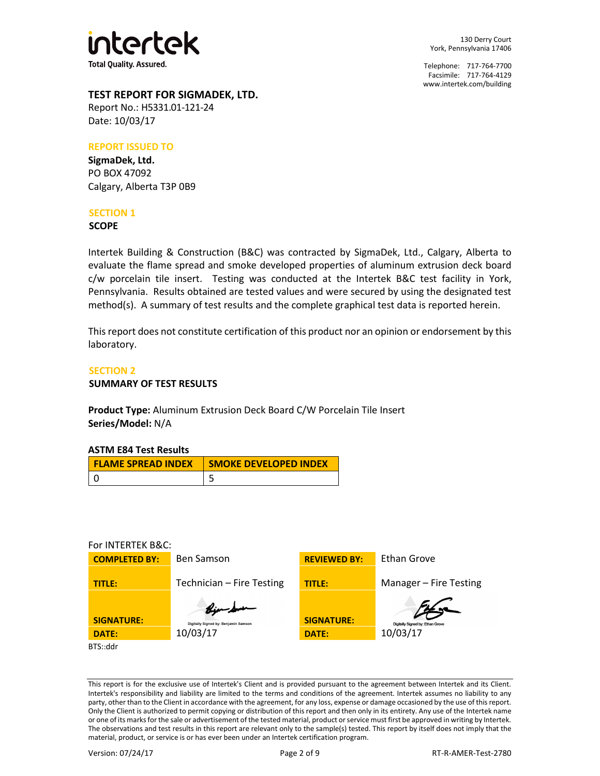

130 Derry Court York, Pennsylvania 17406

Telephone: 717-764-7700 Facsimile: 717-764-4129 [www.intertek.com/building](http://www.intertek.com/building) 

## **TEST REPORT FOR SIGMADEK, LTD.**

Report No.: H5331.01-121-24 Date: 10/03/17

#### **REPORT ISSUED TO**

**SigmaDek, Ltd.** PO BOX 47092 Calgary, Alberta T3P 0B9

## **SECTION 1**

**SCOPE**

Intertek Building & Construction (B&C) was contracted by SigmaDek, Ltd., Calgary, Alberta to evaluate the flame spread and smoke developed properties of aluminum extrusion deck board c/w porcelain tile insert. Testing was conducted at the Intertek B&C test facility in York, Pennsylvania. Results obtained are tested values and were secured by using the designated test method(s). A summary of test results and the complete graphical test data is reported herein.

This report does not constitute certification of this product nor an opinion or endorsement by this laboratory.

### **SECTION 2**

#### **SUMMARY OF TEST RESULTS**

**Product Type:** Aluminum Extrusion Deck Board C/W Porcelain Tile Insert **Series/Model:** N/A

| <b>FLAME SPREAD INDEX</b> | <b>SMOKE DEVELOPED INDEX</b> |
|---------------------------|------------------------------|
|                           |                              |

#### For INTERTEK B&C:



This report is for the exclusive use of Intertek's Client and is provided pursuant to the agreement between Intertek and its Client. Intertek's responsibility and liability are limited to the terms and conditions of the agreement. Intertek assumes no liability to any party, other than to the Client in accordance with the agreement, for any loss, expense or damage occasioned by the use of this report. Only the Client is authorized to permit copying or distribution of this report and then only in its entirety. Any use of the Intertek name or one of its marks for the sale or advertisement of the tested material, product or service must first be approved in writing by Intertek. The observations and test results in this report are relevant only to the sample(s) tested. This report by itself does not imply that the material, product, or service is or has ever been under an Intertek certification program.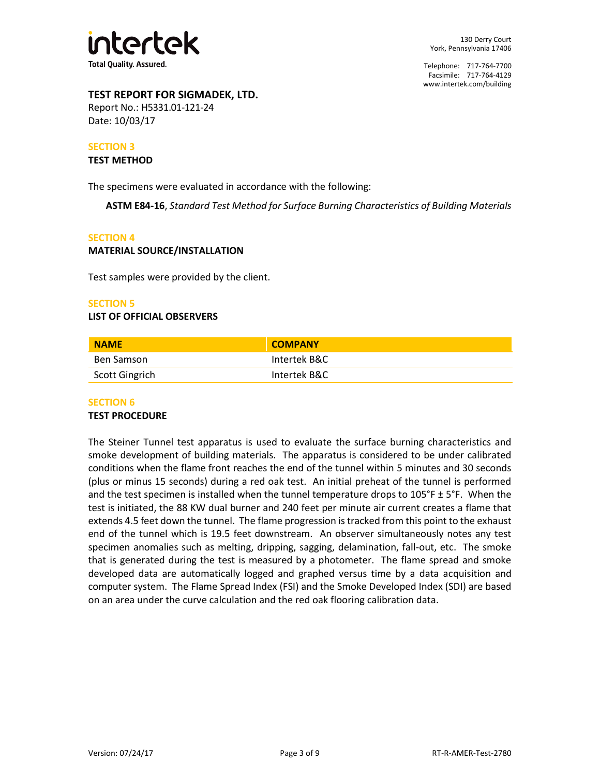

Telephone: 717-764-7700 Facsimile: 717-764-4129 [www.intertek.com/building](http://www.intertek.com/building) 

## **TEST REPORT FOR SIGMADEK, LTD.**

Report No.: H5331.01-121-24 Date: 10/03/17

#### **SECTION 3**

#### **TEST METHOD**

The specimens were evaluated in accordance with the following:

**ASTM E84-16**, *Standard Test Method for Surface Burning Characteristics of Building Materials* 

#### **SECTION 4**

#### **MATERIAL SOURCE/INSTALLATION**

Test samples were provided by the client.

#### **SECTION 5**

#### **LIST OF OFFICIAL OBSERVERS**

| <b>NAME</b>           | <b>COMPANY</b> |  |
|-----------------------|----------------|--|
| Ben Samson            | Intertek B&C   |  |
| <b>Scott Gingrich</b> | Intertek B&C   |  |

#### **SECTION 6**

#### **TEST PROCEDURE**

The Steiner Tunnel test apparatus is used to evaluate the surface burning characteristics and smoke development of building materials. The apparatus is considered to be under calibrated conditions when the flame front reaches the end of the tunnel within 5 minutes and 30 seconds (plus or minus 15 seconds) during a red oak test. An initial preheat of the tunnel is performed and the test specimen is installed when the tunnel temperature drops to  $105^\circ$ F ± 5°F. When the test is initiated, the 88 KW dual burner and 240 feet per minute air current creates a flame that extends 4.5 feet down the tunnel. The flame progression is tracked from this point to the exhaust end of the tunnel which is 19.5 feet downstream. An observer simultaneously notes any test specimen anomalies such as melting, dripping, sagging, delamination, fall-out, etc. The smoke that is generated during the test is measured by a photometer. The flame spread and smoke developed data are automatically logged and graphed versus time by a data acquisition and computer system. The Flame Spread Index (FSI) and the Smoke Developed Index (SDI) are based on an area under the curve calculation and the red oak flooring calibration data.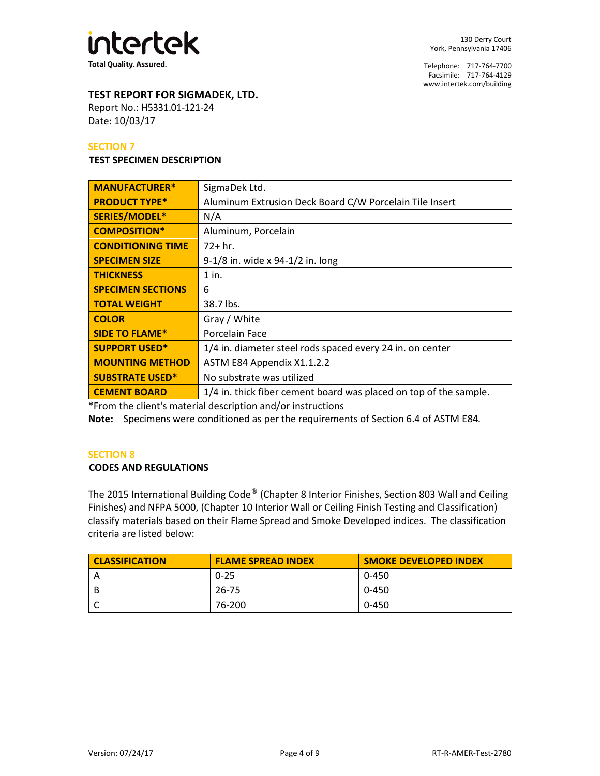

Telephone: 717-764-7700 Facsimile: 717-764-4129 [www.intertek.com/building](http://www.intertek.com/building) 

# **TEST REPORT FOR SIGMADEK, LTD.**

Report No.: H5331.01-121-24 Date: 10/03/17

#### **SECTION 7**

#### **TEST SPECIMEN DESCRIPTION**

| <b>MANUFACTURER*</b>     | SigmaDek Ltd.                                                     |
|--------------------------|-------------------------------------------------------------------|
| <b>PRODUCT TYPE*</b>     | Aluminum Extrusion Deck Board C/W Porcelain Tile Insert           |
| SERIES/MODEL*            | N/A                                                               |
| <b>COMPOSITION*</b>      | Aluminum, Porcelain                                               |
| <b>CONDITIONING TIME</b> | $72+hr.$                                                          |
| <b>SPECIMEN SIZE</b>     | 9-1/8 in. wide x 94-1/2 in. long                                  |
| <b>THICKNESS</b>         | 1 in.                                                             |
| <b>SPECIMEN SECTIONS</b> | 6                                                                 |
| <b>TOTAL WEIGHT</b>      | 38.7 lbs.                                                         |
| <b>COLOR</b>             | Gray / White                                                      |
| <b>SIDE TO FLAME*</b>    | Porcelain Face                                                    |
| <b>SUPPORT USED*</b>     | 1/4 in. diameter steel rods spaced every 24 in. on center         |
| <b>MOUNTING METHOD</b>   | ASTM E84 Appendix X1.1.2.2                                        |
| <b>SUBSTRATE USED*</b>   | No substrate was utilized                                         |
| <b>CEMENT BOARD</b>      | 1/4 in. thick fiber cement board was placed on top of the sample. |

\*From the client's material description and/or instructions

**Note:** Specimens were conditioned as per the requirements of Section 6.4 of ASTM E84*.*

#### **SECTION 8**

#### **CODES AND REGULATIONS**

The 2015 International Building Code® (Chapter 8 Interior Finishes, Section 803 Wall and Ceiling Finishes) and NFPA 5000, (Chapter 10 Interior Wall or Ceiling Finish Testing and Classification) classify materials based on their Flame Spread and Smoke Developed indices. The classification criteria are listed below:

| <b>CLASSIFICATION</b> | <b>FLAME SPREAD INDEX</b> | <b>SMOKE DEVELOPED INDEX</b> |
|-----------------------|---------------------------|------------------------------|
|                       | $0 - 25$                  | 0-450                        |
|                       | 26-75                     | 0-450                        |
|                       | 76-200                    | 0-450                        |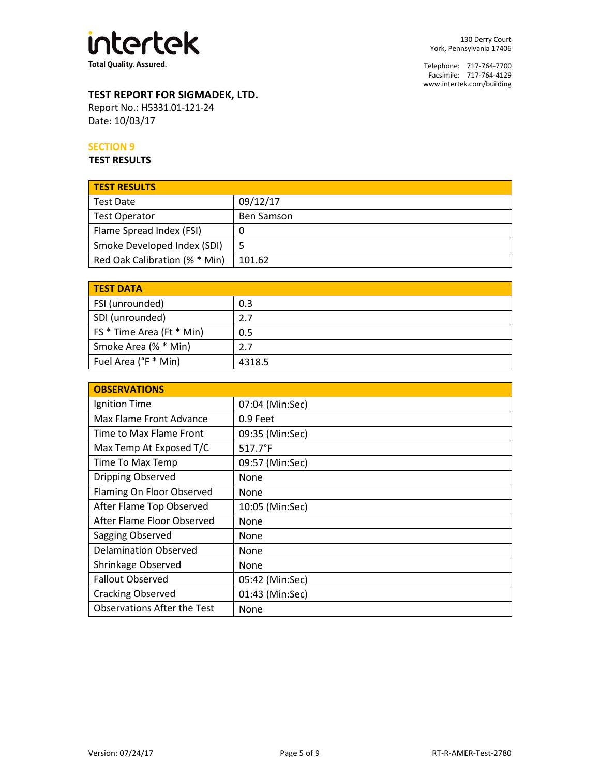

130 Derry Court York, Pennsylvania 17406

Telephone: 717-764-7700 Facsimile: 717-764-4129 [www.intertek.com/building](http://www.intertek.com/building) 

# **TEST REPORT FOR SIGMADEK, LTD.**

Report No.: H5331.01-121-24 Date: 10/03/17

## **SECTION 9**

**TEST RESULTS**

| <b>TEST RESULTS</b>           |                   |
|-------------------------------|-------------------|
| <b>Test Date</b>              | 09/12/17          |
| <b>Test Operator</b>          | <b>Ben Samson</b> |
| Flame Spread Index (FSI)      | U                 |
| Smoke Developed Index (SDI)   |                   |
| Red Oak Calibration (% * Min) | 101.62            |

| <b>TEST DATA</b>          |        |
|---------------------------|--------|
| FSI (unrounded)           | 0.3    |
| SDI (unrounded)           | 2.7    |
| FS * Time Area (Ft * Min) | 0.5    |
| Smoke Area (% * Min)      | 2.7    |
| Fuel Area (°F * Min)      | 4318.5 |

| <b>OBSERVATIONS</b>                |                  |
|------------------------------------|------------------|
| Ignition Time                      | 07:04 (Min:Sec)  |
| Max Flame Front Advance            | 0.9 Feet         |
| Time to Max Flame Front            | 09:35 (Min:Sec)  |
| Max Temp At Exposed T/C            | $517.7^{\circ}F$ |
| Time To Max Temp                   | 09:57 (Min:Sec)  |
| <b>Dripping Observed</b>           | None             |
| Flaming On Floor Observed          | None             |
| After Flame Top Observed           | 10:05 (Min:Sec)  |
| After Flame Floor Observed         | None             |
| Sagging Observed                   | None             |
| <b>Delamination Observed</b>       | None             |
| Shrinkage Observed                 | None             |
| <b>Fallout Observed</b>            | 05:42 (Min:Sec)  |
| <b>Cracking Observed</b>           | 01:43 (Min:Sec)  |
| <b>Observations After the Test</b> | None             |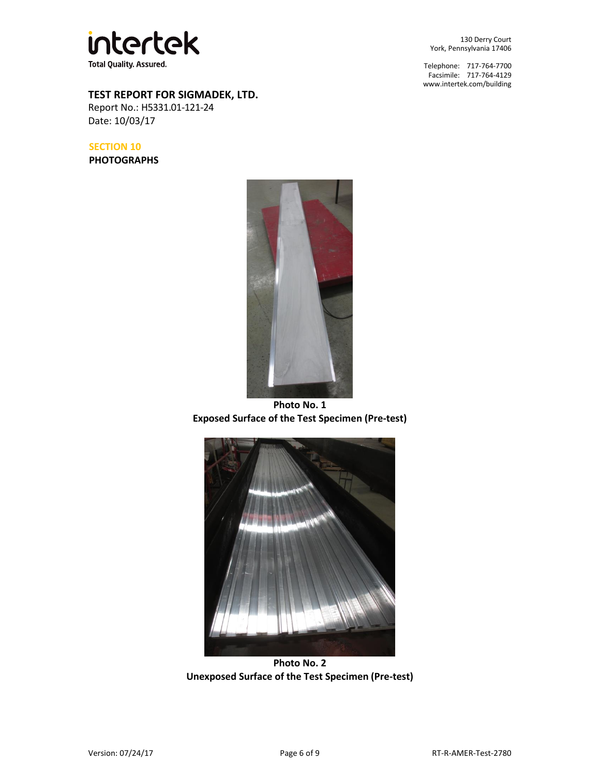

**TEST REPORT FOR SIGMADEK, LTD.** 

Report No.: H5331.01-121-24 Date: 10/03/17

**SECTION 10 PHOTOGRAPHS**



**Photo No. 1 Exposed Surface of the Test Specimen (Pre-test)** 



**Photo No. 2 Unexposed Surface of the Test Specimen (Pre-test)** 

130 Derry Court York, Pennsylvania 17406

Telephone: 717-764-7700 Facsimile: 717-764-4129 [www.intertek.com/building](http://www.intertek.com/building)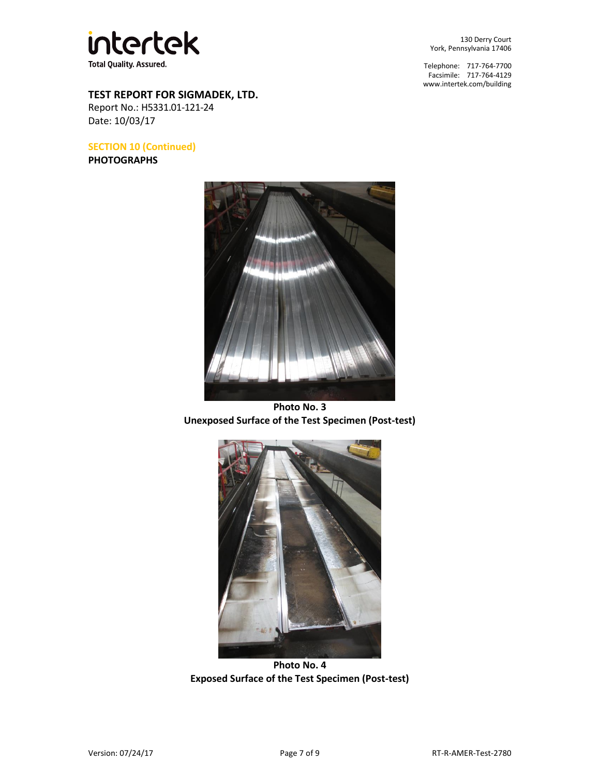

**TEST REPORT FOR SIGMADEK, LTD.** 

Report No.: H5331.01-121-24 Date: 10/03/17

**SECTION 10 (Continued)** 

**PHOTOGRAPHS**



Telephone: 717-764-7700 Facsimile: 717-764-4129 [www.intertek.com/building](http://www.intertek.com/building) 



**Photo No. 3 Unexposed Surface of the Test Specimen (Post-test)** 



**Photo No. 4 Exposed Surface of the Test Specimen (Post-test)**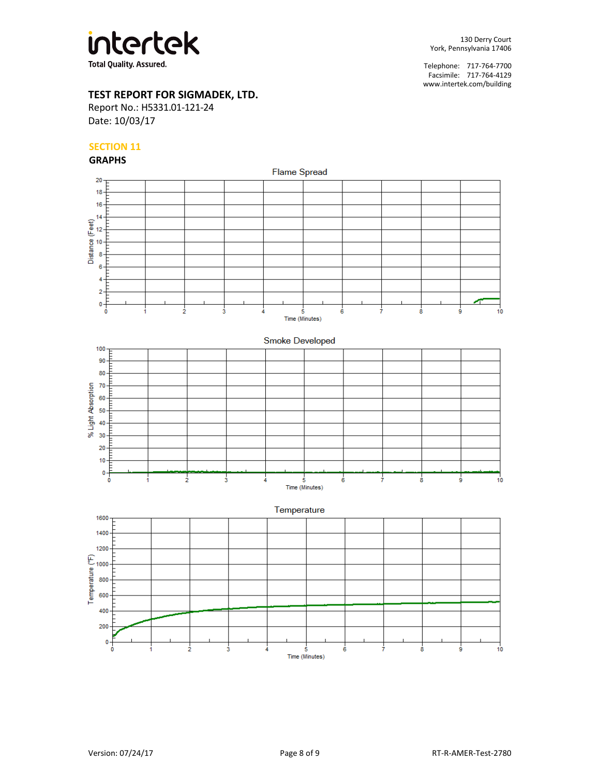

Telephone: 717-764-7700 Facsimile: 717-764-4129 [www.intertek.com/building](http://www.intertek.com/building) 

# **TEST REPORT FOR SIGMADEK, LTD.**

Report No.: H5331.01-121-24 Date: 10/03/17

## **SECTION 11**

**GRAPHS**



 $\frac{1}{2}$ 

 $\ddot{\bf{6}}$ 

5

 $\overline{\mathbf{3}}$ 

ģ

 $10$ 

 $\dot{\mathbf{8}}$